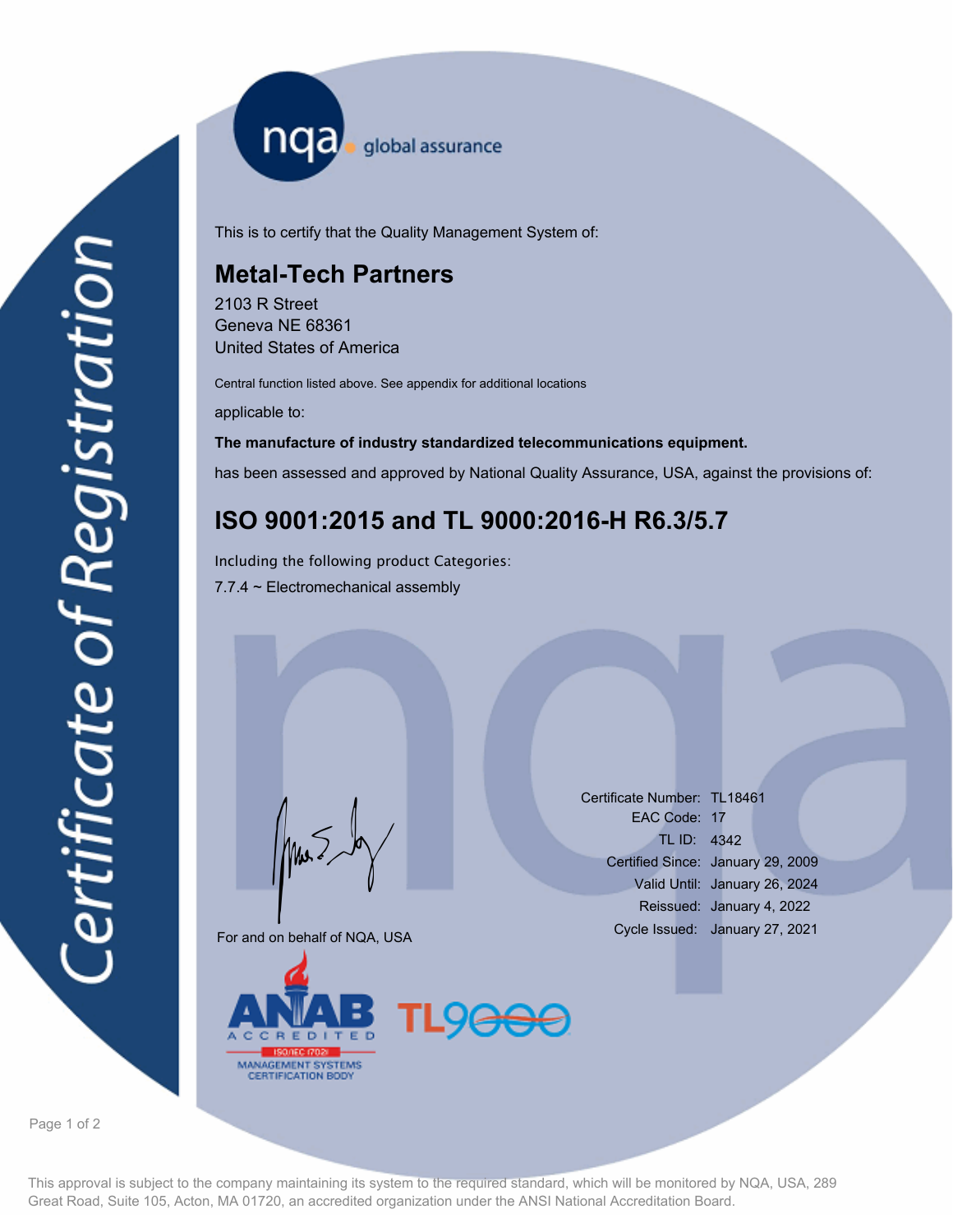nqa <sub>global assurance</sub>

This is to certify that the Quality Management System of:

## **Metal-Tech Partners**

2103 R Street Geneva NE 68361 United States of America

Central function listed above. See appendix for additional locations

applicable to:

## **The manufacture of industry standardized telecommunications equipment.**

has been assessed and approved by National Quality Assurance, USA, against the provisions of:

## **ISO 9001:2015 and TL 9000:2016-H R6.3/5.7**

7.7.4 ~ Electromechanical assembly Including the following product Categories:

For and on behalf of NQA, USA

Mus



Certificate Number: TL18461 EAC Code: 17 TL ID: 4342 Certified Since: January 29, 2009 Valid Until: January 26, 2024 Reissued: January 4, 2022 Cycle Issued: January 27, 2021

Page 1 of 2

This approval is subject to the company maintaining its system to the required standard, which will be monitored by NQA, USA, 289 Great Road, Suite 105, Acton, MA 01720, an accredited organization under the ANSI National Accreditation Board.